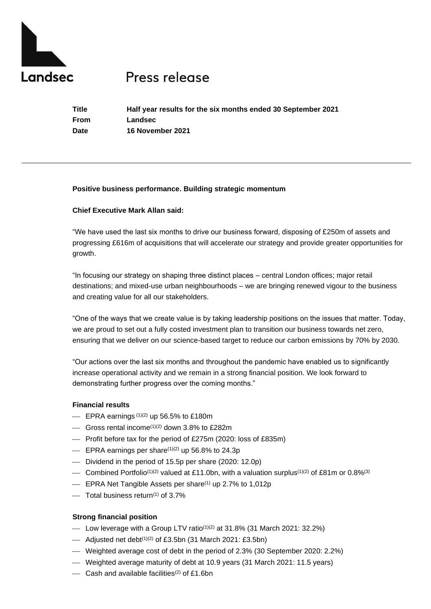

# Press release

**Title Half year results for the six months ended 30 September 2021 From Landsec Date 16 November 2021**

# **Positive business performance. Building strategic momentum**

# **Chief Executive Mark Allan said:**

"We have used the last six months to drive our business forward, disposing of £250m of assets and progressing £616m of acquisitions that will accelerate our strategy and provide greater opportunities for growth.

"In focusing our strategy on shaping three distinct places – central London offices; major retail destinations; and mixed-use urban neighbourhoods – we are bringing renewed vigour to the business and creating value for all our stakeholders.

"One of the ways that we create value is by taking leadership positions on the issues that matter. Today, we are proud to set out a fully costed investment plan to transition our business towards net zero, ensuring that we deliver on our science-based target to reduce our carbon emissions by 70% by 2030.

"Our actions over the last six months and throughout the pandemic have enabled us to significantly increase operational activity and we remain in a strong financial position. We look forward to demonstrating further progress over the coming months."

# **Financial results**

- $\equiv$  EPRA earnings  $(1)(2)$  up 56.5% to £180m
- $\sim$  Gross rental income<sup>(1)(2)</sup> down 3.8% to £282m
- Profit before tax for the period of £275m (2020: loss of £835m)
- $\equiv$  EPRA earnings per share<sup>(1)(2)</sup> up 56.8% to 24.3p
- ⎯ Dividend in the period of 15.5p per share (2020: 12.0p)
- Combined Portfolio<sup>(1)(2)</sup> valued at £11.0bn, with a valuation surplus<sup>(1)(2)</sup> of £81m or 0.8%<sup>(3)</sup>
- $\equiv$  EPRA Net Tangible Assets per share<sup>(1)</sup> up 2.7% to 1,012p
- $\sim$  Total business return<sup>(1)</sup> of 3.7%

# **Strong financial position**

- $\mu$  Low leverage with a Group LTV ratio<sup>(1)(2)</sup> at 31.8% (31 March 2021: 32.2%)
- $\mu$  Adjusted net debt<sup>(1)(2)</sup> of £3.5bn (31 March 2021: £3.5bn)
- ⎯ Weighted average cost of debt in the period of 2.3% (30 September 2020: 2.2%)
- ⎯ Weighted average maturity of debt at 10.9 years (31 March 2021: 11.5 years)
- $\sim$  Cash and available facilities<sup>(2)</sup> of £1.6bn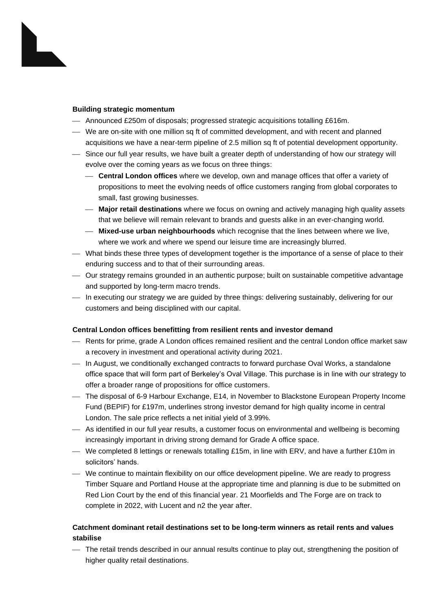## **Building strategic momentum**

- ⎯ Announced £250m of disposals; progressed strategic acquisitions totalling £616m.
- ⎯ We are on-site with one million sq ft of committed development, and with recent and planned acquisitions we have a near-term pipeline of 2.5 million sq ft of potential development opportunity.
- ⎯ Since our full year results, we have built a greater depth of understanding of how our strategy will evolve over the coming years as we focus on three things:
	- ⎯ **Central London offices** where we develop, own and manage offices that offer a variety of propositions to meet the evolving needs of office customers ranging from global corporates to small, fast growing businesses.
	- ⎯ **Major retail destinations** where we focus on owning and actively managing high quality assets that we believe will remain relevant to brands and guests alike in an ever-changing world.
	- ⎯ **Mixed-use urban neighbourhoods** which recognise that the lines between where we live, where we work and where we spend our leisure time are increasingly blurred.
- ⎯ What binds these three types of development together is the importance of a sense of place to their enduring success and to that of their surrounding areas.
- ⎯ Our strategy remains grounded in an authentic purpose; built on sustainable competitive advantage and supported by long-term macro trends.
- $-$  In executing our strategy we are guided by three things: delivering sustainably, delivering for our customers and being disciplined with our capital.

# **Central London offices benefitting from resilient rents and investor demand**

- Rents for prime, grade A London offices remained resilient and the central London office market saw a recovery in investment and operational activity during 2021.
- ⎯ In August, we conditionally exchanged contracts to forward purchase Oval Works, a standalone office space that will form part of Berkeley's Oval Village. This purchase is in line with our strategy to offer a broader range of propositions for office customers.
- ⎯ The disposal of 6-9 Harbour Exchange, E14, in November to Blackstone European Property Income Fund (BEPIF) for £197m, underlines strong investor demand for high quality income in central London. The sale price reflects a net initial yield of 3.99%.
- ⎯ As identified in our full year results, a customer focus on environmental and wellbeing is becoming increasingly important in driving strong demand for Grade A office space.
- We completed 8 lettings or renewals totalling £15m, in line with ERV, and have a further £10m in solicitors' hands.
- ⎯ We continue to maintain flexibility on our office development pipeline. We are ready to progress Timber Square and Portland House at the appropriate time and planning is due to be submitted on Red Lion Court by the end of this financial year. 21 Moorfields and The Forge are on track to complete in 2022, with Lucent and n2 the year after.

# **Catchment dominant retail destinations set to be long-term winners as retail rents and values stabilise**

⎯ The retail trends described in our annual results continue to play out, strengthening the position of higher quality retail destinations.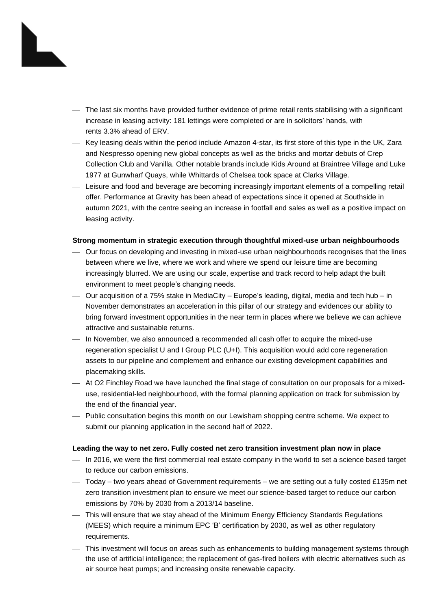- ⎯ The last six months have provided further evidence of prime retail rents stabilising with a significant increase in leasing activity: 181 lettings were completed or are in solicitors' hands, with rents 3.3% ahead of ERV.
- ⎯ Key leasing deals within the period include Amazon 4-star, its first store of this type in the UK, Zara and Nespresso opening new global concepts as well as the bricks and mortar debuts of Crep Collection Club and Vanilla. Other notable brands include Kids Around at Braintree Village and Luke 1977 at Gunwharf Quays, while Whittards of Chelsea took space at Clarks Village.
- ⎯ Leisure and food and beverage are becoming increasingly important elements of a compelling retail offer. Performance at Gravity has been ahead of expectations since it opened at Southside in autumn 2021, with the centre seeing an increase in footfall and sales as well as a positive impact on leasing activity.

## **Strong momentum in strategic execution through thoughtful mixed-use urban neighbourhoods**

- ⎯ Our focus on developing and investing in mixed-use urban neighbourhoods recognises that the lines between where we live, where we work and where we spend our leisure time are becoming increasingly blurred. We are using our scale, expertise and track record to help adapt the built environment to meet people's changing needs.
- ⎯ Our acquisition of a 75% stake in MediaCity Europe's leading, digital, media and tech hub in November demonstrates an acceleration in this pillar of our strategy and evidences our ability to bring forward investment opportunities in the near term in places where we believe we can achieve attractive and sustainable returns.
- In November, we also announced a recommended all cash offer to acquire the mixed-use regeneration specialist U and I Group PLC (U+I). This acquisition would add core regeneration assets to our pipeline and complement and enhance our existing development capabilities and placemaking skills.
- ⎯ At O2 Finchley Road we have launched the final stage of consultation on our proposals for a mixeduse, residential-led neighbourhood, with the formal planning application on track for submission by the end of the financial year.
- ⎯ Public consultation begins this month on our Lewisham shopping centre scheme. We expect to submit our planning application in the second half of 2022.

### **Leading the way to net zero. Fully costed net zero transition investment plan now in place**

- $-$  In 2016, we were the first commercial real estate company in the world to set a science based target to reduce our carbon emissions.
- ⎯ Today two years ahead of Government requirements we are setting out a fully costed £135m net zero transition investment plan to ensure we meet our science-based target to reduce our carbon emissions by 70% by 2030 from a 2013/14 baseline.
- ⎯ This will ensure that we stay ahead of the Minimum Energy Efficiency Standards Regulations (MEES) which require a minimum EPC 'B' certification by 2030, as well as other regulatory requirements.
- ⎯ This investment will focus on areas such as enhancements to building management systems through the use of artificial intelligence; the replacement of gas-fired boilers with electric alternatives such as air source heat pumps; and increasing onsite renewable capacity.